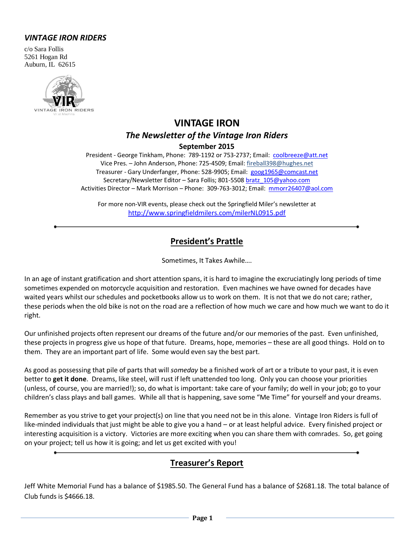#### *VINTAGE IRON RIDERS*

c/o Sara Follis 5261 Hogan Rd Auburn, IL 62615



# **VINTAGE IRON** *The Newsletter of the Vintage Iron Riders* **September 2015**

President - George Tinkham, Phone: 789-1192 or 753-2737; Email: [coolbreeze@att.net](mailto:coolbreeze@att.net) Vice Pres. – John Anderson, Phone: 725-4509; Email: fireball398@hughes.net Treasurer - Gary Underfanger, Phone: 528-9905; Email: [goog1965@comcast.net](mailto:goog1965@comcast.net) Secretary/Newsletter Editor - Sara Follis; 801-5508 [bratz\\_105@yahoo.com](mailto:bratz_105@yahoo.com) Activities Director – Mark Morrison – Phone: 309-763-3012; Email: [mmorr26407@aol.com](mailto:mmorr26407@aol.com)

For more non-VIR events, please check out the Springfield Miler's newsletter at <http://www.springfieldmilers.com/milerNL0915.pdf>

# **President's Prattle**

Sometimes, It Takes Awhile….

In an age of instant gratification and short attention spans, it is hard to imagine the excruciatingly long periods of time sometimes expended on motorcycle acquisition and restoration. Even machines we have owned for decades have waited years whilst our schedules and pocketbooks allow us to work on them. It is not that we do not care; rather, these periods when the old bike is not on the road are a reflection of how much we care and how much we want to do it right.

Our unfinished projects often represent our dreams of the future and/or our memories of the past. Even unfinished, these projects in progress give us hope of that future. Dreams, hope, memories – these are all good things. Hold on to them. They are an important part of life. Some would even say the best part.

As good as possessing that pile of parts that will *someday* be a finished work of art or a tribute to your past, it is even better to **get it done**. Dreams, like steel, will rust if left unattended too long. Only you can choose your priorities (unless, of course, you are married!); so, do what is important: take care of your family; do well in your job; go to your children's class plays and ball games. While all that is happening, save some "Me Time" for yourself and your dreams.

Remember as you strive to get your project(s) on line that you need not be in this alone. Vintage Iron Riders is full of like-minded individuals that just might be able to give you a hand – or at least helpful advice. Every finished project or interesting acquisition is a victory. Victories are more exciting when you can share them with comrades. So, get going on your project; tell us how it is going; and let us get excited with you!

# **Treasurer's Report**

Jeff White Memorial Fund has a balance of \$1985.50. The General Fund has a balance of \$2681.18. The total balance of Club funds is \$4666.18.

**Page 1**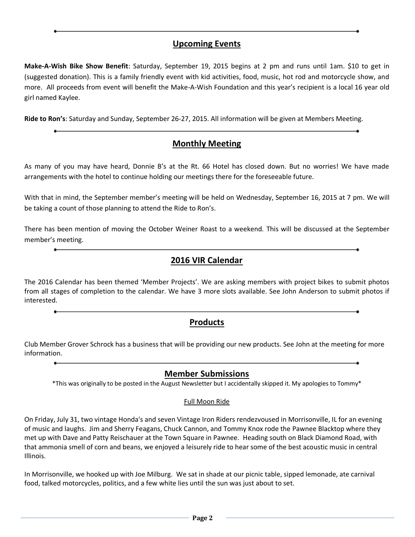## **Upcoming Events**

**Make-A-Wish Bike Show Benefit**: Saturday, September 19, 2015 begins at 2 pm and runs until 1am. \$10 to get in (suggested donation). This is a family friendly event with kid activities, food, music, hot rod and motorcycle show, and more. All proceeds from event will benefit the Make-A-Wish Foundation and this year's recipient is a local 16 year old girl named Kaylee.

**Ride to Ron's**: Saturday and Sunday, September 26-27, 2015. All information will be given at Members Meeting.

## **Monthly Meeting**

As many of you may have heard, Donnie B's at the Rt. 66 Hotel has closed down. But no worries! We have made arrangements with the hotel to continue holding our meetings there for the foreseeable future.

With that in mind, the September member's meeting will be held on Wednesday, September 16, 2015 at 7 pm. We will be taking a count of those planning to attend the Ride to Ron's.

There has been mention of moving the October Weiner Roast to a weekend. This will be discussed at the September member's meeting.

## **2016 VIR Calendar**

The 2016 Calendar has been themed 'Member Projects'. We are asking members with project bikes to submit photos from all stages of completion to the calendar. We have 3 more slots available. See John Anderson to submit photos if interested.

## **Products**

Club Member Grover Schrock has a business that will be providing our new products. See John at the meeting for more information.

#### **Member Submissions**

\*This was originally to be posted in the August Newsletter but I accidentally skipped it. My apologies to Tommy\*

#### Full Moon Ride

On Friday, July 31, two vintage Honda's and seven Vintage Iron Riders rendezvoused in Morrisonville, IL for an evening of music and laughs. Jim and Sherry Feagans, Chuck Cannon, and Tommy Knox rode the Pawnee Blacktop where they met up with Dave and Patty Reischauer at the Town Square in Pawnee. Heading south on Black Diamond Road, with that ammonia smell of corn and beans, we enjoyed a leisurely ride to hear some of the best acoustic music in central Illinois.

In Morrisonville, we hooked up with Joe Milburg. We sat in shade at our picnic table, sipped lemonade, ate carnival food, talked motorcycles, politics, and a few white lies until the sun was just about to set.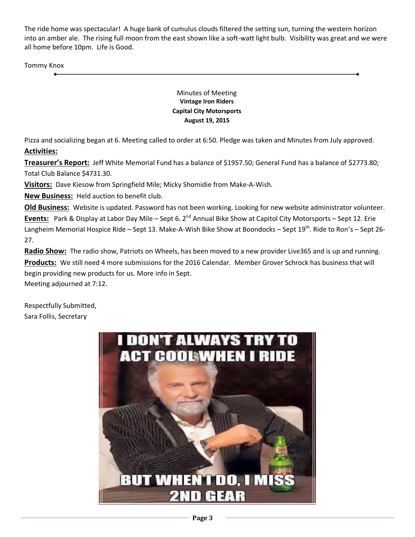The ride home was spectacular! A huge bank of cumulus clouds filtered the setting sun, turning the western horizon into an amber ale. The rising full moon from the east shown like a soft-watt light bulb. Visibility was great and we were all home before 10pm. Life is Good.

Tommy Knox

Minutes of Meeting **Vintage Iron Riders Capital City Motorsports August 19, 2015**

Pizza and socializing began at 6. Meeting called to order at 6:50. Pledge was taken and Minutes from July approved. **Activities:**

**Treasurer's Report:** Jeff White Memorial Fund has a balance of \$1957.50; General Fund has a balance of \$2773.80; Total Club Balance \$4731.30.

**Visitors:** Dave Kiesow from Springfield Mile; Micky Shomidie from Make-A-Wish.

**New Business:** Held auction to benefit club.

**Old Business:** Website is updated. Password has not been working. Looking for new website administrator volunteer. **Events:** Park & Display at Labor Day Mile – Sept 6. 2<sup>nd</sup> Annual Bike Show at Capitol City Motorsports – Sept 12. Erie Langheim Memorial Hospice Ride – Sept 13. Make-A-Wish Bike Show at Boondocks – Sept 19<sup>th</sup>. Ride to Ron's – Sept 26-27.

**Radio Show:** The radio show, Patriots on Wheels, has been moved to a new provider Live365 and is up and running. **Products:** We still need 4 more submissions for the 2016 Calendar. Member Grover Schrock has business that will begin providing new products for us. More info in Sept.

Meeting adjourned at 7:12.

Respectfully Submitted, Sara Follis, Secretary